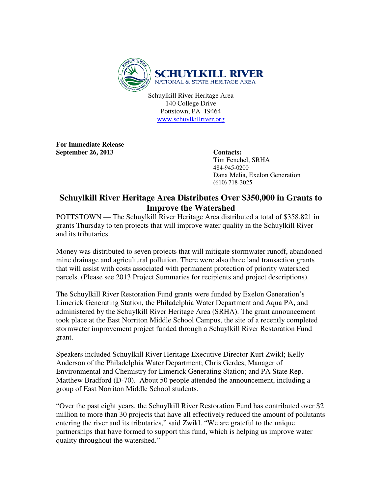

Schuylkill River Heritage Area 140 College Drive Pottstown, PA 19464 www.schuylkillriver.org

**For Immediate Release**  September 26, 2013 Contacts:

 Tim Fenchel, SRHA 484-945-0200 Dana Melia, Exelon Generation (610) 718-3025

## **Schuylkill River Heritage Area Distributes Over \$350,000 in Grants to Improve the Watershed**

POTTSTOWN — The Schuylkill River Heritage Area distributed a total of \$358,821 in grants Thursday to ten projects that will improve water quality in the Schuylkill River and its tributaries.

Money was distributed to seven projects that will mitigate stormwater runoff, abandoned mine drainage and agricultural pollution. There were also three land transaction grants that will assist with costs associated with permanent protection of priority watershed parcels. (Please see 2013 Project Summaries for recipients and project descriptions).

The Schuylkill River Restoration Fund grants were funded by Exelon Generation's Limerick Generating Station, the Philadelphia Water Department and Aqua PA, and administered by the Schuylkill River Heritage Area (SRHA). The grant announcement took place at the East Norriton Middle School Campus, the site of a recently completed stormwater improvement project funded through a Schuylkill River Restoration Fund grant.

Speakers included Schuylkill River Heritage Executive Director Kurt Zwikl; Kelly Anderson of the Philadelphia Water Department; Chris Gerdes, Manager of Environmental and Chemistry for Limerick Generating Station; and PA State Rep. Matthew Bradford (D-70). About 50 people attended the announcement, including a group of East Norriton Middle School students.

"Over the past eight years, the Schuylkill River Restoration Fund has contributed over \$2 million to more than 30 projects that have all effectively reduced the amount of pollutants entering the river and its tributaries," said Zwikl. "We are grateful to the unique partnerships that have formed to support this fund, which is helping us improve water quality throughout the watershed."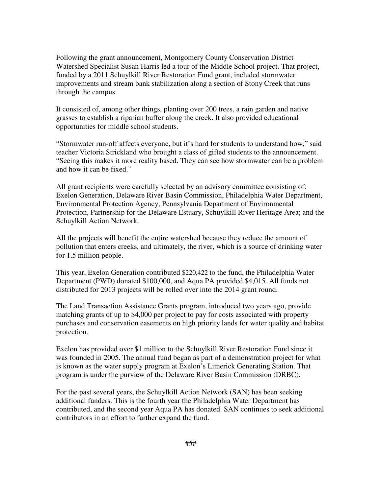Following the grant announcement, Montgomery County Conservation District Watershed Specialist Susan Harris led a tour of the Middle School project. That project, funded by a 2011 Schuylkill River Restoration Fund grant, included stormwater improvements and stream bank stabilization along a section of Stony Creek that runs through the campus.

It consisted of, among other things, planting over 200 trees, a rain garden and native grasses to establish a riparian buffer along the creek. It also provided educational opportunities for middle school students.

"Stormwater run-off affects everyone, but it's hard for students to understand how," said teacher Victoria Strickland who brought a class of gifted students to the announcement. "Seeing this makes it more reality based. They can see how stormwater can be a problem and how it can be fixed."

All grant recipients were carefully selected by an advisory committee consisting of: Exelon Generation, Delaware River Basin Commission, Philadelphia Water Department, Environmental Protection Agency, Pennsylvania Department of Environmental Protection, Partnership for the Delaware Estuary, Schuylkill River Heritage Area; and the Schuylkill Action Network.

All the projects will benefit the entire watershed because they reduce the amount of pollution that enters creeks, and ultimately, the river, which is a source of drinking water for 1.5 million people.

This year, Exelon Generation contributed \$220,422 to the fund, the Philadelphia Water Department (PWD) donated \$100,000, and Aqua PA provided \$4,015. All funds not distributed for 2013 projects will be rolled over into the 2014 grant round.

The Land Transaction Assistance Grants program, introduced two years ago, provide matching grants of up to \$4,000 per project to pay for costs associated with property purchases and conservation easements on high priority lands for water quality and habitat protection.

Exelon has provided over \$1 million to the Schuylkill River Restoration Fund since it was founded in 2005. The annual fund began as part of a demonstration project for what is known as the water supply program at Exelon's Limerick Generating Station. That program is under the purview of the Delaware River Basin Commission (DRBC).

For the past several years, the Schuylkill Action Network (SAN) has been seeking additional funders. This is the fourth year the Philadelphia Water Department has contributed, and the second year Aqua PA has donated. SAN continues to seek additional contributors in an effort to further expand the fund.